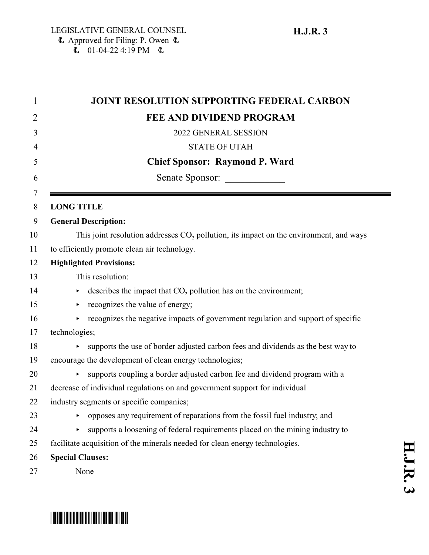| 1 | <b>JOINT RESOLUTION SUPPORTING FEDERAL CARBON</b>                                                  |
|---|----------------------------------------------------------------------------------------------------|
| 2 | <b>FEE AND DIVIDEND PROGRAM</b>                                                                    |
| 3 | 2022 GENERAL SESSION                                                                               |
| 4 | <b>STATE OF UTAH</b>                                                                               |
|   | <b>Chief Sponsor: Raymond P. Ward</b>                                                              |
|   | Senate Sponsor:                                                                                    |
|   | <b>LONG TITLE</b>                                                                                  |
|   | <b>General Description:</b>                                                                        |
|   | This joint resolution addresses CO <sub>2</sub> pollution, its impact on the environment, and ways |
|   | to efficiently promote clean air technology.                                                       |
|   | <b>Highlighted Provisions:</b>                                                                     |
|   | This resolution:                                                                                   |
|   | describes the impact that CO <sub>2</sub> pollution has on the environment;<br>▶                   |
|   | recognizes the value of energy;<br>▶                                                               |
|   | recognizes the negative impacts of government regulation and support of specific                   |
|   | technologies;                                                                                      |
|   | supports the use of border adjusted carbon fees and dividends as the best way to<br>▶              |
|   | encourage the development of clean energy technologies;                                            |
|   | supports coupling a border adjusted carbon fee and dividend program with a                         |
|   | decrease of individual regulations on and government support for individual                        |
|   | industry segments or specific companies;                                                           |
|   | opposes any requirement of reparations from the fossil fuel industry; and                          |
|   | supports a loosening of federal requirements placed on the mining industry to<br>▶                 |
|   | facilitate acquisition of the minerals needed for clean energy technologies.                       |
|   | <b>Special Clauses:</b>                                                                            |
|   | None                                                                                               |

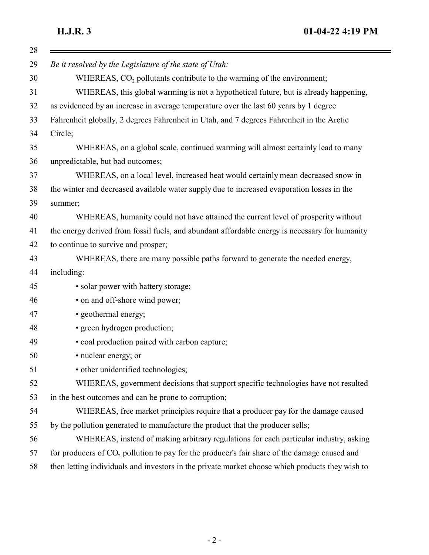| Be it resolved by the Legislature of the state of Utah:                                                  |
|----------------------------------------------------------------------------------------------------------|
| WHEREAS, CO <sub>2</sub> pollutants contribute to the warming of the environment;                        |
| WHEREAS, this global warming is not a hypothetical future, but is already happening,                     |
| as evidenced by an increase in average temperature over the last 60 years by 1 degree                    |
| Fahrenheit globally, 2 degrees Fahrenheit in Utah, and 7 degrees Fahrenheit in the Arctic                |
| Circle;                                                                                                  |
| WHEREAS, on a global scale, continued warming will almost certainly lead to many                         |
| unpredictable, but bad outcomes;                                                                         |
| WHEREAS, on a local level, increased heat would certainly mean decreased snow in                         |
| the winter and decreased available water supply due to increased evaporation losses in the               |
| summer;                                                                                                  |
| WHEREAS, humanity could not have attained the current level of prosperity without                        |
| the energy derived from fossil fuels, and abundant affordable energy is necessary for humanity           |
| to continue to survive and prosper;                                                                      |
| WHEREAS, there are many possible paths forward to generate the needed energy,                            |
| including:                                                                                               |
| • solar power with battery storage;                                                                      |
| • on and off-shore wind power;                                                                           |
| • geothermal energy;                                                                                     |
| • green hydrogen production;                                                                             |
| • coal production paired with carbon capture;                                                            |
| • nuclear energy; or                                                                                     |
| • other unidentified technologies;                                                                       |
| WHEREAS, government decisions that support specific technologies have not resulted                       |
| in the best outcomes and can be prone to corruption;                                                     |
| WHEREAS, free market principles require that a producer pay for the damage caused                        |
| by the pollution generated to manufacture the product that the producer sells;                           |
| WHEREAS, instead of making arbitrary regulations for each particular industry, asking                    |
| for producers of CO <sub>2</sub> pollution to pay for the producer's fair share of the damage caused and |
| then letting individuals and investors in the private market choose which products they wish to          |